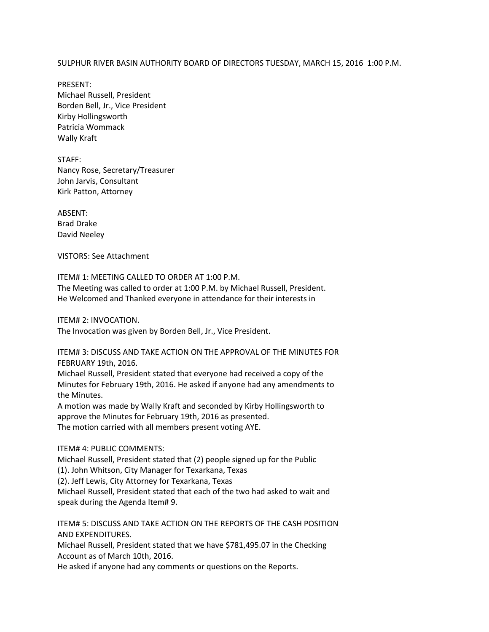SULPHUR RIVER BASIN AUTHORITY BOARD OF DIRECTORS TUESDAY, MARCH 15, 2016 1:00 P.M.

PRESENT: Michael Russell, President Borden Bell, Jr., Vice President Kirby Hollingsworth Patricia Wommack Wally Kraft

STAFF: Nancy Rose, Secretary/Treasurer John Jarvis, Consultant Kirk Patton, Attorney

ABSENT: Brad Drake David Neeley

VISTORS: See Attachment

ITEM# 1: MEETING CALLED TO ORDER AT 1:00 P.M.

The Meeting was called to order at 1:00 P.M. by Michael Russell, President. He Welcomed and Thanked everyone in attendance for their interests in

ITEM# 2: INVOCATION.

The Invocation was given by Borden Bell, Jr., Vice President.

ITEM# 3: DISCUSS AND TAKE ACTION ON THE APPROVAL OF THE MINUTES FOR FEBRUARY 19th, 2016.

Michael Russell, President stated that everyone had received a copy of the Minutes for February 19th, 2016. He asked if anyone had any amendments to the Minutes.

A motion was made by Wally Kraft and seconded by Kirby Hollingsworth to approve the Minutes for February 19th, 2016 as presented. The motion carried with all members present voting AYE.

ITEM# 4: PUBLIC COMMENTS:

Michael Russell, President stated that (2) people signed up for the Public (1). John Whitson, City Manager for Texarkana, Texas (2). Jeff Lewis, City Attorney for Texarkana, Texas Michael Russell, President stated that each of the two had asked to wait and speak during the Agenda Item# 9.

ITEM# 5: DISCUSS AND TAKE ACTION ON THE REPORTS OF THE CASH POSITION AND EXPENDITURES.

Michael Russell, President stated that we have \$781,495.07 in the Checking Account as of March 10th, 2016.

He asked if anyone had any comments or questions on the Reports.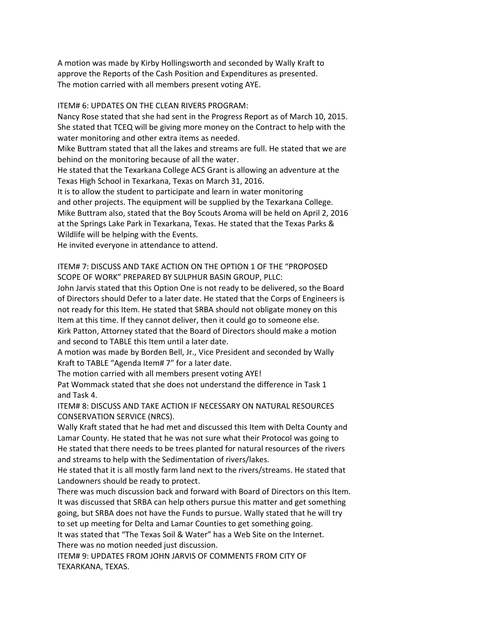A motion was made by Kirby Hollingsworth and seconded by Wally Kraft to approve the Reports of the Cash Position and Expenditures as presented. The motion carried with all members present voting AYE.

ITEM# 6: UPDATES ON THE CLEAN RIVERS PROGRAM:

Nancy Rose stated that she had sent in the Progress Report as of March 10, 2015. She stated that TCEQ will be giving more money on the Contract to help with the water monitoring and other extra items as needed.

Mike Buttram stated that all the lakes and streams are full. He stated that we are behind on the monitoring because of all the water.

He stated that the Texarkana College ACS Grant is allowing an adventure at the Texas High School in Texarkana, Texas on March 31, 2016.

It is to allow the student to participate and learn in water monitoring and other projects. The equipment will be supplied by the Texarkana College. Mike Buttram also, stated that the Boy Scouts Aroma will be held on April 2, 2016 at the Springs Lake Park in Texarkana, Texas. He stated that the Texas Parks & Wildlife will be helping with the Events.

He invited everyone in attendance to attend.

ITEM# 7: DISCUSS AND TAKE ACTION ON THE OPTION 1 OF THE "PROPOSED SCOPE OF WORK" PREPARED BY SULPHUR BASIN GROUP, PLLC:

John Jarvis stated that this Option One is not ready to be delivered, so the Board of Directors should Defer to a later date. He stated that the Corps of Engineers is not ready for this Item. He stated that SRBA should not obligate money on this Item at this time. If they cannot deliver, then it could go to someone else. Kirk Patton, Attorney stated that the Board of Directors should make a motion and second to TABLE this Item until a later date.

A motion was made by Borden Bell, Jr., Vice President and seconded by Wally Kraft to TABLE "Agenda Item# 7" for a later date.

The motion carried with all members present voting AYE!

Pat Wommack stated that she does not understand the difference in Task 1 and Task 4.

ITEM# 8: DISCUSS AND TAKE ACTION IF NECESSARY ON NATURAL RESOURCES CONSERVATION SERVICE (NRCS).

Wally Kraft stated that he had met and discussed this Item with Delta County and Lamar County. He stated that he was not sure what their Protocol was going to He stated that there needs to be trees planted for natural resources of the rivers and streams to help with the Sedimentation of rivers/lakes.

He stated that it is all mostly farm land next to the rivers/streams. He stated that Landowners should be ready to protect.

There was much discussion back and forward with Board of Directors on this Item. It was discussed that SRBA can help others pursue this matter and get something going, but SRBA does not have the Funds to pursue. Wally stated that he will try to set up meeting for Delta and Lamar Counties to get something going.

It was stated that "The Texas Soil & Water" has a Web Site on the Internet. There was no motion needed just discussion.

ITEM# 9: UPDATES FROM JOHN JARVIS OF COMMENTS FROM CITY OF TEXARKANA, TEXAS.